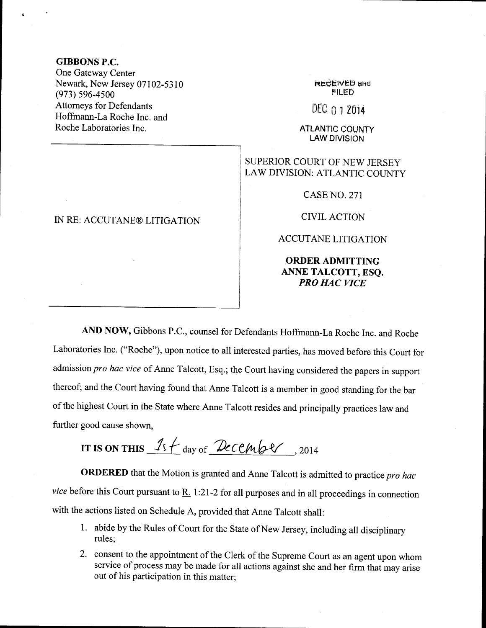### GIBBONS P.C.

One Gateway Center Newark, New Jersey 07102-5310  $(973) 596 - 4500$ Attomeys for Defendants Hoffrnann-La Roche Inc. and Roche Laboratories Inc.

# IN RE: ACCUTANE® LITIGATION

**REGEIVED and FILED** 

 $DEC<sub>011</sub> 2014$ 

ATLANTIC COUNTY LAW DIVISION

## SUPERIOR COURT OF NEW JERSEY LAW DIVISION: ATLANTIC COUNTY

CASE NO. 271

CIVIL ACTION

ACCUTANE LITIGATION

### ORDER ADMITTING ANNE TALCOTT, ESQ. PRO HAC WCE

AND NOW, Gibbons P.C., counsel for Defendants Hoffrnann-La Roche Inc. and Roche Laboratories Inc. ("Roche"), upon notice to all interested parties, has moved before this Court for admission pro hac vice of Anne Talcott, Esq.; the Court having considered the papers in support thereof; and the Court having found that Anne Talcott is a member in good standing for the bar of the highest Court in the State where Anne Talcott resides and principally practices law and further good cause shown,

IT IS ON THIS  $15 + \text{day of }$  Pecember, 2014

ORDERED that the Motion is granted and Anne Talcott is admitted to practice pro hac vice before this Court pursuant to  $\underline{R}$ . 1:21-2 for all purposes and in all proceedings in connection with the actions listed on Schedule A, provided that Anne Talcott shall:

- 1. abide by the Rules of Court for the State of New Jersey, including all disciplinary rules;
- 2. consent to the appointment of the Clerk of the Supreme Court as an agent upon whom service of process may be made for all actions against she and her firm that may arise out of his participation in this matter;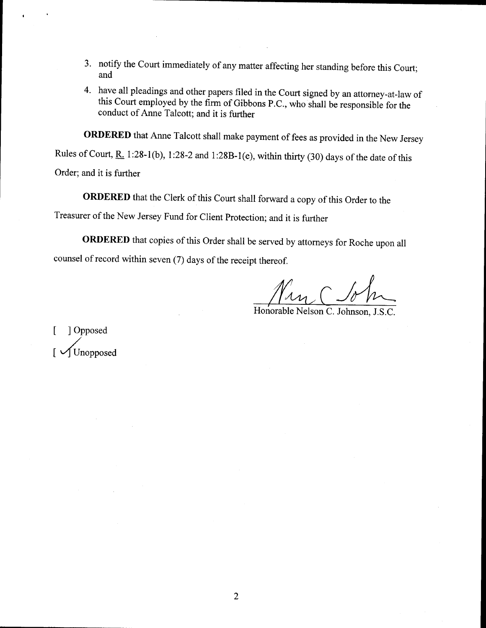- 3. notify the Court immediately of any matter affecting her standing before this Court; and
- 4. have all pleadings and other papers filed in the Court signed by an attorney-at-law of this Court employed by the firm of Gibbons P.C., who shall be responsible for the conduct of Anne Talcott; and it is further

ORDERED that Anne Talcott shall make payment of fees as provided in the New Jersey

Rules of Court, R. 1:28-1(b), 1:28-2 and 1:28B-1(e), within thirty (30) days of the date of this Order; and it is further

ORDERED that the Clerk of this Court shall forward a copy of this Order to the Treasurer of the New Jersey Fund for client protection; and it is further

ORDERED that copies of this Order shall be served by attorneys for Roche upon all counsel of record within seven (7) days of the receipt thereof.

Nan C So

Honorable Nelson C. Johnson, J.S.C.

[ ] Opposed [Unopposed]